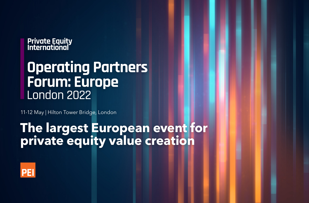### **Private Equity<br>International**

### **Operating Partners Forum: Europe** London 2022

11-12 May | Hilton Tower Bridge, London

### **The largest European event for private equity value creation**

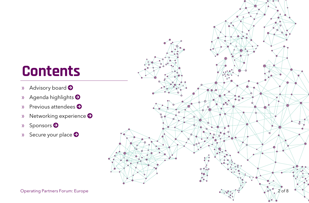# **Contents**

- » [Advisory board](#page-2-0)
- » [Agenda highlights](#page-3-0)
- » [Previous attendees](#page-4-0)
- » [Networking experience](#page-5-0)  $\bullet$
- » Sponsors
- » [Secure your place](#page-7-0)  $\bullet$

<span id="page-1-0"></span>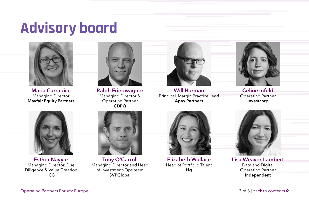# <span id="page-2-0"></span>**Advisory board**



Maria Carradice Managing Director Mayfair Equity Partners



Ralph Friedwagner Managing Director & Operating Partner CDPQ



Will Harman Principal, Margin Practice Lead Apax Partners



Celine Infeld Operating Partner Investcorp



Esther Nayyar Managing Director, Due Diligence & Value Creation ICG



Tony O'Carroll Managing Director and Head of Investment-Ops team **SVPGlobal** 



Elizabeth Wallace Head of Portfolio Talent Hg



Lisa Weaver-Lambert Data and Digital Operating Partner Independent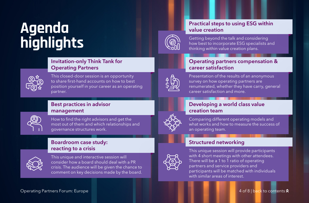## <span id="page-3-0"></span>**Agenda highlights**

#### Invitation-only Think Tank for Operating Partners



This closed-door session is an opportunity to share first-hand accounts on how to best position yourself in your career as an operating partner.

#### Best practices in advisor management



How to find the right advisors and get the most out of them and which relationships and governance structures work.

#### Boardroom case study: reacting to a crisis



This unique and interactive session will consider how a board should deal with a PR crisis. The audience will be given the chance to comment on key decisions made by the board.

#### Practical steps to using ESG within value creation



Getting beyond the talk and considering how best to incorporate ESG specialists and thinking within value creation plans.

#### Operating partners compensation & career satisfaction



Presentation of the results of an anonymous survey on how operating partners are renumerated, whether they have carry, general career satisfaction and more.



#### Developing a world class value creation team

Comparing different operating models and what works and how to measure the success of an operating team.

#### Structured networking



This unique session will provide participants with 4 short meetings with other attendees. There will be a 1 to 1 ratio of operating partners and service providers and participants will be matched with individuals with similar areas of interest.

#### [Operating Partners Forum: Europe](https://www.peievents.com/en/event/operating-partners-forum-europe/) 4 of 8 | [back to contents](#page-1-0)  $\lambda$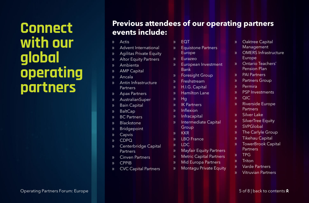# **with our global operating partners**

# <span id="page-4-0"></span>**CONNECT** Previous attendees of our operating partners<br> **CONNECT** events include:

- » Actis
- » Advent International
- » Agilitas Private Equity
- » Altor Equity Partners
- » Ambienta
- » AMP Capital
- » Ancala
- » Antin Infrastructure **Partners**
- » Apax Partners
- » AustralianSuper
- » Bain Capital
- » BaltCap
- » BC Partners
- » Blackstone
- » Bridgepoint
- » Capvis
- » CDPQ
- » Centerbridge Capital **Partners**
- » Cinven Partners
- » CPPIB
- » CVC Capital Partners
- » EQT
- » Equistone Partners Europe
- » Eurazeo
- » European Investment Bank
- » Foresight Group
- » Freshstream
- » H.I.G. Capital
- » Hamilton Lane
- » Hg
- » IK Partners
- » Inflexion
- » Infracapital
- » Intermediate Capital **Group**
- » KKR
- » LBO France
- » LDC
- » Mayfair Equity Partners
- » Metric Capital Partners
- » Mid Europa Partners
- » Montagu Private Equity
- » Oaktree Capital Management
- » OMERS Infrastructure Europe
- » Ontario Teachers' Pension Plan
- » PAI Partners
- » Partners Group
- » Permira
- » PSP Investments
- » QIC
- » Riverside Europe **Partners**
- » Silver Lake
- » SilverTree Equity
- » SVPGlobal
- » The Carlyle Group
- » Tikehau Capital
- » TowerBrook Capital **Partners**
- » TPG
- » Triton
- » Varde Partners
- » Vitruvian Partners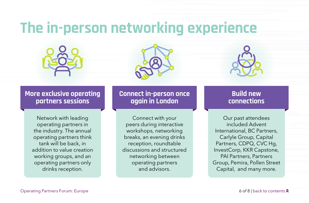## <span id="page-5-0"></span>**The in-person networking experience**







#### **More exclusive operating partners sessions**

Network with leading operating partners in the industry. The annual operating partners think tank will be back, in addition to value creation working groups, and an operating partners only drinks reception.

#### **Connect in-person once again in London**

Connect with your peers during interactive workshops, networking breaks, an evening drinks reception, roundtable discussions and structured networking between operating partners and advisors.

### **Build new connections**

Our past attendees included Advent International, BC Partners, Carlyle Group, Capital Partners, CDPQ, CVC Hg, InvestCorp, KKR Capstone, PAI Partners, Partners Group, Pemira, Pollen Street Capital, and many more.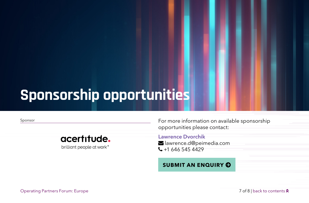### <span id="page-6-0"></span>**Sponsorship opportunities**



Sponsor **Example 20** Sponsor For more information on available sponsorship opportunities please contact:

> Lawrence Dvorchik lawrence.d@peimedia.com  $\leftarrow$  +1 646 545 4429

#### **[SUBMIT AN ENQUIRY](https://www.peievents.com/en/contact/?peievcc-event-id=46222&contact-form-page=sponsor) O**

[Operating Partners Forum: Europe](https://www.peievents.com/en/event/operating-partners-forum-europe/) 7 of 8 | [back to contents](#page-1-0)  $\lambda$